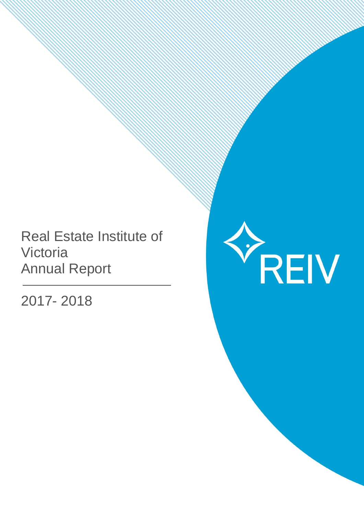# Real Estate Institute of Victoria Annual Report

2017- 2018

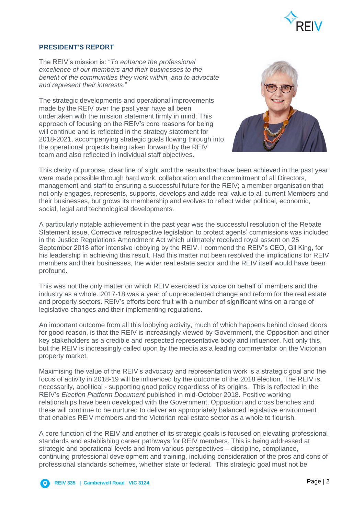

# **PRESIDENT'S REPORT**

The REIV's mission is: "*To enhance the professional excellence of our members and their businesses to the benefit of the communities they work within, and to advocate and represent their interests*."

The strategic developments and operational improvements made by the REIV over the past year have all been undertaken with the mission statement firmly in mind. This approach of focusing on the REIV's core reasons for being will continue and is reflected in the strategy statement for 2018-2021, accompanying strategic goals flowing through into the operational projects being taken forward by the REIV team and also reflected in individual staff objectives.



This clarity of purpose, clear line of sight and the results that have been achieved in the past year were made possible through hard work, collaboration and the commitment of all Directors, management and staff to ensuring a successful future for the REIV; a member organisation that not only engages, represents, supports, develops and adds real value to all current Members and their businesses, but grows its membership and evolves to reflect wider political, economic, social, legal and technological developments.

A particularly notable achievement in the past year was the successful resolution of the Rebate Statement issue. Corrective retrospective legislation to protect agents' commissions was included in the Justice Regulations Amendment Act which ultimately received royal assent on 25 September 2018 after intensive lobbying by the REIV. I commend the REIV's CEO, Gil King, for his leadership in achieving this result. Had this matter not been resolved the implications for REIV members and their businesses, the wider real estate sector and the REIV itself would have been profound.

This was not the only matter on which REIV exercised its voice on behalf of members and the industry as a whole. 2017-18 was a year of unprecedented change and reform for the real estate and property sectors. REIV's efforts bore fruit with a number of significant wins on a range of legislative changes and their implementing regulations.

An important outcome from all this lobbying activity, much of which happens behind closed doors for good reason, is that the REIV is increasingly viewed by Government, the Opposition and other key stakeholders as a credible and respected representative body and influencer. Not only this, but the REIV is increasingly called upon by the media as a leading commentator on the Victorian property market.

Maximising the value of the REIV's advocacy and representation work is a strategic goal and the focus of activity in 2018-19 will be influenced by the outcome of the 2018 election. The REIV is, necessarily, apolitical - supporting good policy regardless of its origins. This is reflected in the REIV's *Election Platform Document* published in mid-October 2018. Positive working relationships have been developed with the Government, Opposition and cross benches and these will continue to be nurtured to deliver an appropriately balanced legislative environment that enables REIV members and the Victorian real estate sector as a whole to flourish.

A core function of the REIV and another of its strategic goals is focused on elevating professional standards and establishing career pathways for REIV members. This is being addressed at strategic and operational levels and from various perspectives – discipline, compliance, continuing professional development and training, including consideration of the pros and cons of professional standards schemes, whether state or federal. This strategic goal must not be

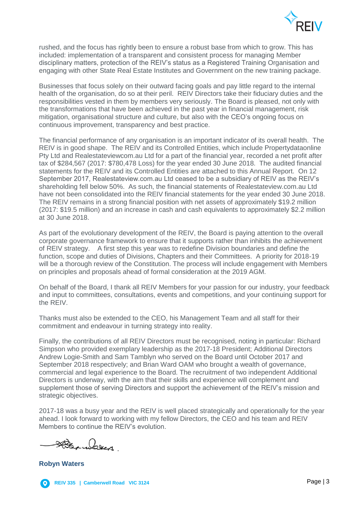

rushed, and the focus has rightly been to ensure a robust base from which to grow. This has included: implementation of a transparent and consistent process for managing Member disciplinary matters, protection of the REIV's status as a Registered Training Organisation and engaging with other State Real Estate Institutes and Government on the new training package.

Businesses that focus solely on their outward facing goals and pay little regard to the internal health of the organisation, do so at their peril. REIV Directors take their fiduciary duties and the responsibilities vested in them by members very seriously. The Board is pleased, not only with the transformations that have been achieved in the past year in financial management, risk mitigation, organisational structure and culture, but also with the CEO's ongoing focus on continuous improvement, transparency and best practice.

The financial performance of any organisation is an important indicator of its overall health. The REIV is in good shape. The REIV and its Controlled Entities, which include Propertydataonline Pty Ltd and Realestateviewcom.au Ltd for a part of the financial year, recorded a net profit after tax of \$284,567 (2017: \$780,478 Loss) for the year ended 30 June 2018. The audited financial statements for the REIV and its Controlled Entities are attached to this Annual Report. On 12 September 2017, Realestateview.com.au Ltd ceased to be a subsidiary of REIV as the REIV's shareholding fell below 50%. As such, the financial statements of Realestateview.com.au Ltd have not been consolidated into the REIV financial statements for the year ended 30 June 2018. The REIV remains in a strong financial position with net assets of approximately \$19.2 million (2017: \$19.5 million) and an increase in cash and cash equivalents to approximately \$2.2 million at 30 June 2018.

As part of the evolutionary development of the REIV, the Board is paying attention to the overall corporate governance framework to ensure that it supports rather than inhibits the achievement of REIV strategy. A first step this year was to redefine Division boundaries and define the function, scope and duties of Divisions, Chapters and their Committees. A priority for 2018-19 will be a thorough review of the Constitution. The process will include engagement with Members on principles and proposals ahead of formal consideration at the 2019 AGM.

On behalf of the Board, I thank all REIV Members for your passion for our industry, your feedback and input to committees, consultations, events and competitions, and your continuing support for the REIV.

Thanks must also be extended to the CEO, his Management Team and all staff for their commitment and endeavour in turning strategy into reality.

Finally, the contributions of all REIV Directors must be recognised, noting in particular: Richard Simpson who provided exemplary leadership as the 2017-18 President; Additional Directors Andrew Logie-Smith and Sam Tamblyn who served on the Board until October 2017 and September 2018 respectively; and Brian Ward OAM who brought a wealth of governance, commercial and legal experience to the Board. The recruitment of two independent Additional Directors is underway, with the aim that their skills and experience will complement and supplement those of serving Directors and support the achievement of the REIV's mission and strategic objectives.

2017-18 was a busy year and the REIV is well placed strategically and operationally for the year ahead. I look forward to working with my fellow Directors, the CEO and his team and REIV Members to continue the REIV's evolution.

Den alexes.

**Robyn Waters**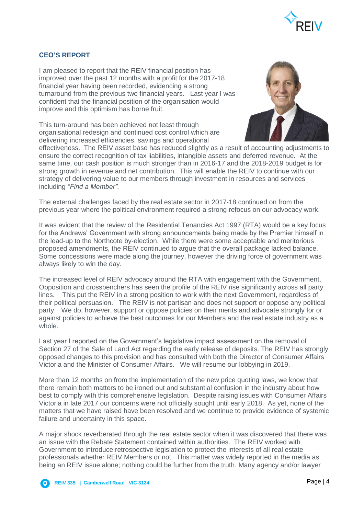

# **CEO'S REPORT**

I am pleased to report that the REIV financial position has improved over the past 12 months with a profit for the 2017-18 financial year having been recorded, evidencing a strong turnaround from the previous two financial years. Last year I was confident that the financial position of the organisation would improve and this optimism has borne fruit.

This turn-around has been achieved not least through organisational redesign and continued cost control which are delivering increased efficiencies, savings and operational



effectiveness. The REIV asset base has reduced slightly as a result of accounting adjustments to ensure the correct recognition of tax liabilities, intangible assets and deferred revenue. At the same time, our cash position is much stronger than in 2016-17 and the 2018-2019 budget is for strong growth in revenue and net contribution. This will enable the REIV to continue with our strategy of delivering value to our members through investment in resources and services including *"Find a Member"*.

The external challenges faced by the real estate sector in 2017-18 continued on from the previous year where the political environment required a strong refocus on our advocacy work.

It was evident that the review of the Residential Tenancies Act 1997 (RTA) would be a key focus for the Andrews' Government with strong announcements being made by the Premier himself in the lead-up to the Northcote by-election. While there were some acceptable and meritorious proposed amendments, the REIV continued to argue that the overall package lacked balance. Some concessions were made along the journey, however the driving force of government was always likely to win the day.

The increased level of REIV advocacy around the RTA with engagement with the Government, Opposition and crossbenchers has seen the profile of the REIV rise significantly across all party lines. This put the REIV in a strong position to work with the next Government, regardless of their political persuasion. The REIV is not partisan and does not support or oppose any political party. We do, however, support or oppose policies on their merits and advocate strongly for or against policies to achieve the best outcomes for our Members and the real estate industry as a whole.

Last year I reported on the Government's legislative impact assessment on the removal of Section 27 of the Sale of Land Act regarding the early release of deposits. The REIV has strongly opposed changes to this provision and has consulted with both the Director of Consumer Affairs Victoria and the Minister of Consumer Affairs. We will resume our lobbying in 2019.

More than 12 months on from the implementation of the new price quoting laws, we know that there remain both matters to be ironed out and substantial confusion in the industry about how best to comply with this comprehensive legislation. Despite raising issues with Consumer Affairs Victoria in late 2017 our concerns were not officially sought until early 2018. As yet, none of the matters that we have raised have been resolved and we continue to provide evidence of systemic failure and uncertainty in this space.

A major shock reverberated through the real estate sector when it was discovered that there was an issue with the Rebate Statement contained within authorities. The REIV worked with Government to introduce retrospective legislation to protect the interests of all real estate professionals whether REIV Members or not. This matter was widely reported in the media as being an REIV issue alone; nothing could be further from the truth. Many agency and/or lawyer

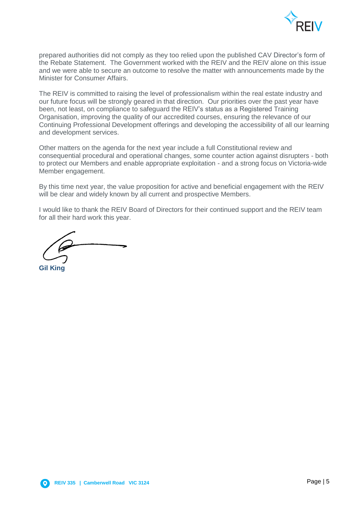

prepared authorities did not comply as they too relied upon the published CAV Director's form of the Rebate Statement. The Government worked with the REIV and the REIV alone on this issue and we were able to secure an outcome to resolve the matter with announcements made by the Minister for Consumer Affairs.

The REIV is committed to raising the level of professionalism within the real estate industry and our future focus will be strongly geared in that direction. Our priorities over the past year have been, not least, on compliance to safeguard the REIV's status as a Registered Training Organisation, improving the quality of our accredited courses, ensuring the relevance of our Continuing Professional Development offerings and developing the accessibility of all our learning and development services.

Other matters on the agenda for the next year include a full Constitutional review and consequential procedural and operational changes, some counter action against disrupters - both to protect our Members and enable appropriate exploitation - and a strong focus on Victoria-wide Member engagement.

By this time next year, the value proposition for active and beneficial engagement with the REIV will be clear and widely known by all current and prospective Members.

I would like to thank the REIV Board of Directors for their continued support and the REIV team for all their hard work this year.

**Gil King**



′ റ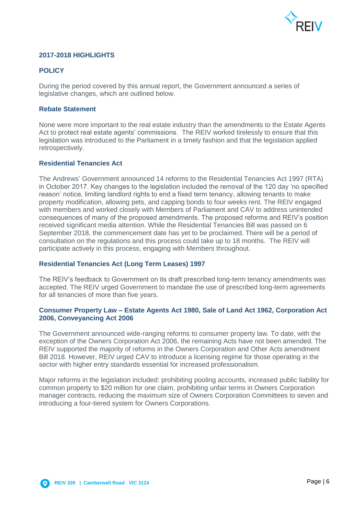

# **2017-2018 HIGHLIGHTS**

# **POLICY**

During the period covered by this annual report, the Government announced a series of legislative changes, which are outlined below.

### **Rebate Statement**

None were more important to the real estate industry than the amendments to the Estate Agents Act to protect real estate agents' commissions. The REIV worked tirelessly to ensure that this legislation was introduced to the Parliament in a timely fashion and that the legislation applied retrospectively.

### **Residential Tenancies Act**

The Andrews' Government announced 14 reforms to the Residential Tenancies Act 1997 (RTA) in October 2017. Key changes to the legislation included the removal of the 120 day 'no specified reason' notice, limiting landlord rights to end a fixed term tenancy, allowing tenants to make property modification, allowing pets, and capping bonds to four weeks rent. The REIV engaged with members and worked closely with Members of Parliament and CAV to address unintended consequences of many of the proposed amendments. The proposed reforms and REIV's position received significant media attention. While the Residential Tenancies Bill was passed on 6 September 2018, the commencement date has yet to be proclaimed. There will be a period of consultation on the regulations and this process could take up to 18 months. The REIV will participate actively in this process, engaging with Members throughout.

### **Residential Tenancies Act (Long Term Leases) 1997**

The REIV's feedback to Government on its draft prescribed long-term tenancy amendments was accepted. The REIV urged Government to mandate the use of prescribed long-term agreements for all tenancies of more than five years.

### **Consumer Property Law – Estate Agents Act 1980, Sale of Land Act 1962, Corporation Act 2006, Conveyancing Act 2006**

The Government announced wide-ranging reforms to consumer property law. To date, with the exception of the Owners Corporation Act 2006, the remaining Acts have not been amended. The REIV supported the majority of reforms in the Owners Corporation and Other Acts amendment Bill 2018. However, REIV urged CAV to introduce a licensing regime for those operating in the sector with higher entry standards essential for increased professionalism.

Major reforms in the legislation included: prohibiting pooling accounts, increased public liability for common property to \$20 million for one claim, prohibiting unfair terms in Owners Corporation manager contracts, reducing the maximum size of Owners Corporation Committees to seven and introducing a four-tiered system for Owners Corporations.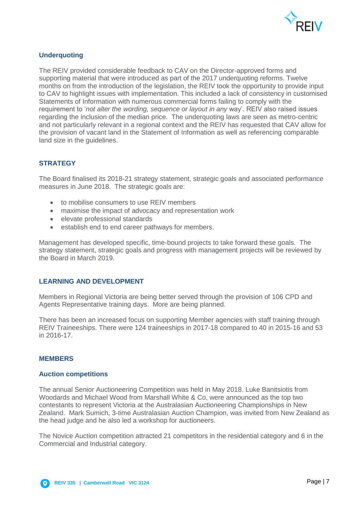

# **Underquoting**

The REIV provided considerable feedback to CAV on the Director-approved forms and supporting material that were introduced as part of the 2017 underquoting reforms. Twelve months on from the introduction of the legislation, the REIV took the opportunity to provide input to CAV to highlight issues with implementation. This included a lack of consistency in customised Statements of Information with numerous commercial forms failing to comply with the requirement to '*not alter the wording, sequence or layout in any* way'. REIV also raised issues regarding the inclusion of the median price. The underquoting laws are seen as metro-centric and not particularly relevant in a regional context and the REIV has requested that CAV allow for the provision of vacant land in the Statement of Information as well as referencing comparable land size in the guidelines.

# **STRATEGY**

The Board finalised its 2018-21 strategy statement, strategic goals and associated performance measures in June 2018. The strategic goals are:

- to mobilise consumers to use REIV members
- maximise the impact of advocacy and representation work
- elevate professional standards
- establish end to end career pathways for members.

Management has developed specific, time-bound projects to take forward these goals. The strategy statement, strategic goals and progress with management projects will be reviewed by the Board in March 2019.

### **LEARNING AND DEVELOPMENT**

Members in Regional Victoria are being better served through the provision of 106 CPD and Agents Representative training days. More are being planned.

There has been an increased focus on supporting Member agencies with staff training through REIV Traineeships. There were 124 traineeships in 2017-18 compared to 40 in 2015-16 and 53 in 2016-17.

### **MEMBERS**

### **Auction competitions**

The annual Senior Auctioneering Competition was held in May 2018. Luke Banitsiotis from Woodards and Michael Wood from Marshall White & Co, were announced as the top two contestants to represent Victoria at the Australasian Auctioneering Championships in New Zealand. Mark Sumich, 3-time Australasian Auction Champion, was invited from New Zealand as the head judge and he also led a workshop for auctioneers.

The Novice Auction competition attracted 21 competitors in the residential category and 6 in the Commercial and Industrial category.

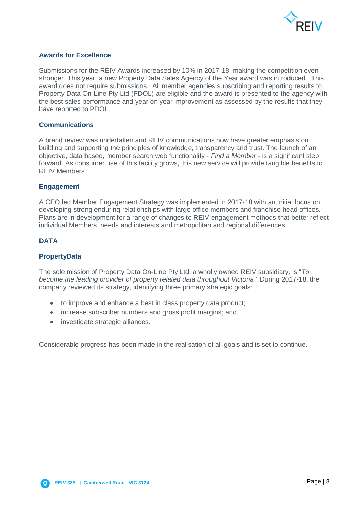

# **Awards for Excellence**

Submissions for the REIV Awards increased by 10% in 2017-18, making the competition even stronger. This year, a new Property Data Sales Agency of the Year award was introduced. This award does not require submissions. All member agencies subscribing and reporting results to Property Data On-Line Pty Ltd (PDOL) are eligible and the award is presented to the agency with the best sales performance and year on year improvement as assessed by the results that they have reported to PDOL.

### **Communications**

A brand review was undertaken and REIV communications now have greater emphasis on building and supporting the principles of knowledge, transparency and trust. The launch of an objective, data based, member search web functionality - *Find a Member* - is a significant step forward. As consumer use of this facility grows, this new service will provide tangible benefits to REIV Members.

### **Engagement**

A CEO led Member Engagement Strategy was implemented in 2017-18 with an initial focus on developing strong enduring relationships with large office members and franchise head offices. Plans are in development for a range of changes to REIV engagement methods that better reflect individual Members' needs and interests and metropolitan and regional differences.

# **DATA**

### **PropertyData**

The sole mission of Property Data On-Line Pty Ltd, a wholly owned REIV subsidiary, is "*To become the leading provider of property related data throughout Victoria"*. During 2017-18, the company reviewed its strategy, identifying three primary strategic goals:

- to improve and enhance a best in class property data product;
- increase subscriber numbers and gross profit margins; and
- investigate strategic alliances.

Considerable progress has been made in the realisation of all goals and is set to continue.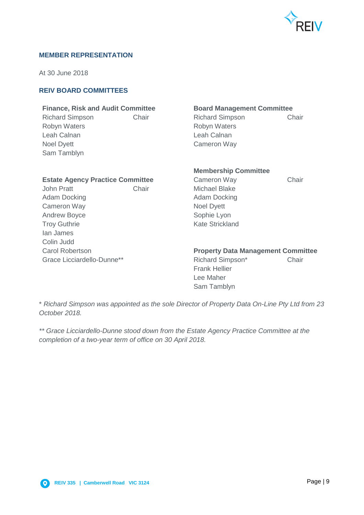

### **MEMBER REPRESENTATION**

At 30 June 2018

# **REIV BOARD COMMITTEES**

# **Finance, Risk and Audit Committee Board Management Committee**

Robyn Waters **Robyn Waters** Robyn Waters Leah Calnan **Leah Calnan** Noel Dyett Cameron Way Sam Tamblyn

Richard Simpson Chair Chair Richard Simpson Chair

### **Estate Agency Practice Committee Cameron Way Chair**

John Pratt **Chair** Chair Michael Blake Adam Docking **Adam Docking Adam Docking** Cameron Way **Noel Dyett** Andrew Boyce Sophie Lyon Troy Guthrie **Kate Strickland** Ian James Colin Judd

# **Membership Committee**

### Carol Robertson **Property Data Management Committee**

Grace Licciardello-Dunne<sup>\*\*</sup> The Richard Simpson<sup>\*</sup> Chair Frank Hellier Lee Maher Sam Tamblyn

\* *Richard Simpson was appointed as the sole Director of Property Data On-Line Pty Ltd from 23 October 2018.*

*\*\* Grace Licciardello-Dunne stood down from the Estate Agency Practice Committee at the completion of a two-year term of office on 30 April 2018.* 

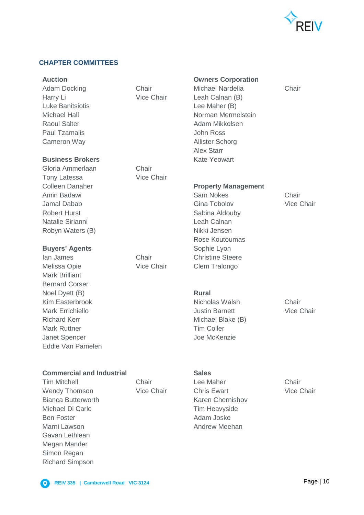

# **CHAPTER COMMITTEES**

Harry Li Vice Chair Leah Calnan (B) Luke Banitsiotis Lee Maher (B) Paul Tzamalis **Australia Communist Communist Communist Communist Communist Communist Communist Communist Communist Communist Communist Communist Communist Communist Communist Communist Communist Communist Communist Communi** Cameron Way **Allister Schorg** 

### **Business Brokers** Kate Yeowart

Gloria Ammerlaan Chair Tony Latessa **Vice Chair** Amin Badawi **Sam Nokes** Chair Jamal Dabab Gina Tobolov Vice Chair Robert Hurst **National Sabina Aldouby** Sabina Aldouby Natalie Sirianni Leah Calnan Robyn Waters (B) Nikki Jensen

### **Buyers' Agents** Sophie Lyon

Melissa Opie **Vice Chair** Clem Tralongo Mark Brilliant Bernard Corser Noel Dyett (B) **Rural** Kim Easterbrook **Nicholas Walsh** Chair Mark Errichiello Justin Barnett Vice Chair Richard Kerr Michael Blake (B) Mark Ruttner **Mark Ruttner** Mark Ruttner **Tim Coller** Janet Spencer and The McKenzie Eddie Van Pamelen

**Auction Owners Corporation**

Adam Docking Chair Chair Michael Nardella Chair Michael Hall **Norman Mermelstein** Raoul Salter **Adam Mikkelsen** Alex Starr

### **Colleen Danaher <b>Property Management**

Rose Koutoumas **Ian James** Chair Chair Christine Steere

**Commercial and Industrial Commercial and Industrial Communisty Communisty** 

Wendy Thomson **Vice Chair** Chris Ewart **Vice Chair** Chris Ewart Vice Chair Bianca Butterworth **Karen Chernishov** Karen Chernishov Michael Di Carlo **Tim Heavyside** Ben Foster **Adam Joske** Adam Joske Marni Lawson **Andrew Meehan** Gavan Lethlean Megan Mander Simon Regan Richard Simpson

Tim Mitchell Chair Lee Maher Chair

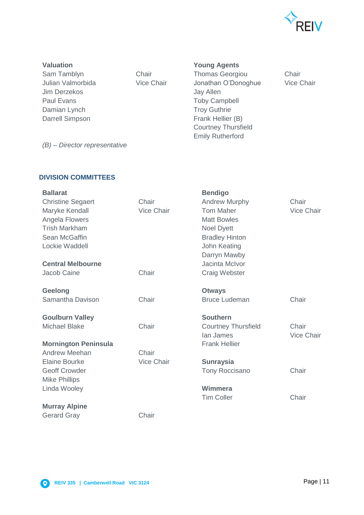

Jim Derzekos Jay Allen Paul Evans **Toby Campbell** Damian Lynch Troy Guthrie Darrell Simpson Frank Hellier (B)

**Valuation Young Agents**

Sam Tamblyn Chair Chair Thomas Georgiou Chair Julian Valmorbida Vice Chair Jonathan O'Donoghue Vice Chair Courtney Thursfield Emily Rutherford

*(B) – Director representative*

# **DIVISION COMMITTEES**

| <b>Ballarat</b>             |                   | <b>Bendigo</b>             |                   |
|-----------------------------|-------------------|----------------------------|-------------------|
| <b>Christine Segaert</b>    | Chair             | <b>Andrew Murphy</b>       | Chair             |
| Maryke Kendall              | Vice Chair        | <b>Tom Maher</b>           | Vice Chair        |
| Angela Flowers              |                   | <b>Matt Bowles</b>         |                   |
| <b>Trish Markham</b>        |                   | Noel Dyett                 |                   |
| Sean McGaffin               |                   | <b>Bradley Hinton</b>      |                   |
| Lockie Waddell              |                   | John Keating               |                   |
|                             |                   | Darryn Mawby               |                   |
| <b>Central Melbourne</b>    |                   | Jacinta McIvor             |                   |
| Jacob Caine                 | Chair             | Craig Webster              |                   |
| <b>Geelong</b>              |                   | <b>Otways</b>              |                   |
| Samantha Davison            | Chair             | <b>Bruce Ludeman</b>       | Chair             |
| <b>Goulburn Valley</b>      |                   | <b>Southern</b>            |                   |
| <b>Michael Blake</b>        | Chair             | <b>Courtney Thursfield</b> | Chair             |
|                             |                   | lan James                  | <b>Vice Chair</b> |
| <b>Mornington Peninsula</b> |                   | <b>Frank Hellier</b>       |                   |
| Andrew Meehan               | Chair             |                            |                   |
| <b>Elaine Bourke</b>        | <b>Vice Chair</b> | <b>Sunraysia</b>           |                   |
| <b>Geoff Crowder</b>        |                   | <b>Tony Roccisano</b>      | Chair             |
| <b>Mike Phillips</b>        |                   |                            |                   |
| Linda Wooley                |                   | Wimmera                    |                   |
|                             |                   | <b>Tim Coller</b>          | Chair             |
| <b>Murray Alpine</b>        |                   |                            |                   |
| <b>Gerard Gray</b>          | Chair             |                            |                   |